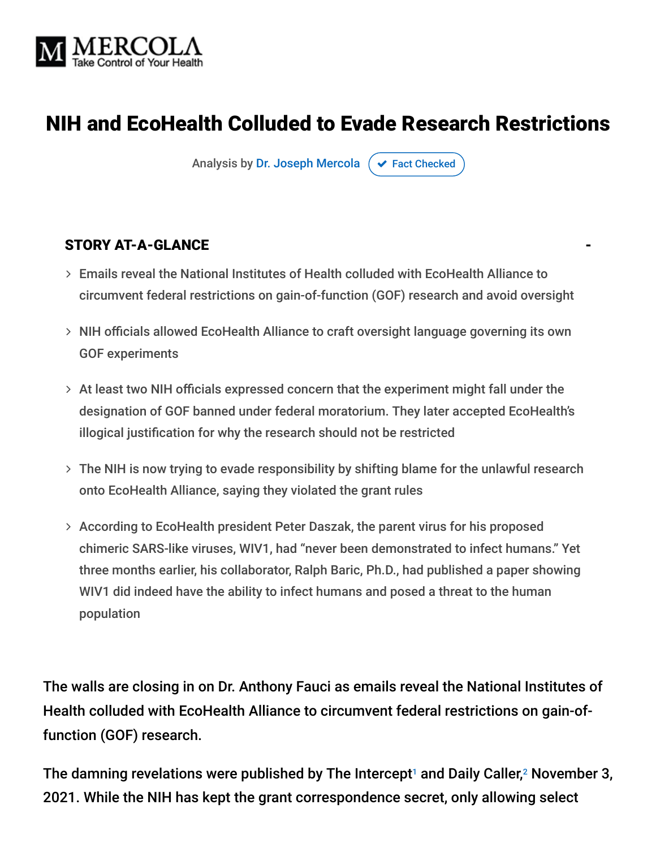

## NIH and EcoHealth Colluded to Evade Research Restrictions

Analysis by [Dr. Joseph Mercola](https://www.mercola.com/forms/background.htm)  $\sigma$  [Fact Checked](javascript:void(0))

#### STORY AT-A-GLANCE

- Emails reveal the National Institutes of Health colluded with EcoHealth Alliance to circumvent federal restrictions on gain-of-function (GOF) research and avoid oversight
- NIH officials allowed EcoHealth Alliance to craft oversight language governing its own GOF experiments
- $>$  At least two NIH officials expressed concern that the experiment might fall under the designation of GOF banned under federal moratorium. They later accepted EcoHealth's illogical justification for why the research should not be restricted
- The NIH is now trying to evade responsibility by shifting blame for the unlawful research onto EcoHealth Alliance, saying they violated the grant rules
- According to EcoHealth president Peter Daszak, the parent virus for his proposed chimeric SARS-like viruses, WIV1, had "never been demonstrated to infect humans." Yet three months earlier, his collaborator, Ralph Baric, Ph.D., had published a paper showing WIV1 did indeed have the ability to infect humans and posed a threat to the human population

The walls are closing in on Dr. Anthony Fauci as emails reveal the National Institutes of Health colluded with EcoHealth Alliance to circumvent federal restrictions on gain-offunction (GOF) research.

The damning revelations were published by The Intercept<sup>1</sup> and Daily Caller,<sup>2</sup> November 3, 2021. While the NIH has kept the grant correspondence secret, only allowing select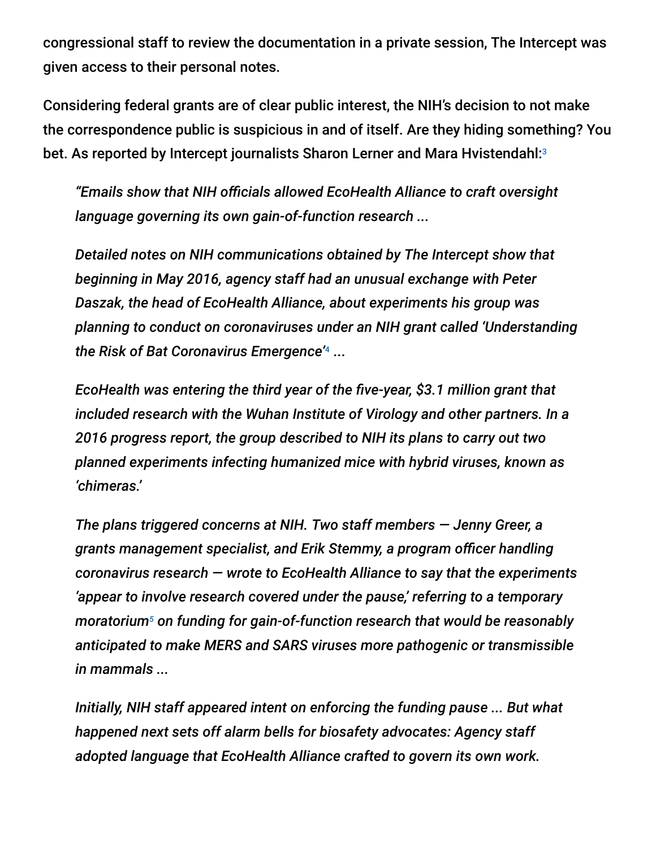congressional staff to review the documentation in a private session, The Intercept was given access to their personal notes.

Considering federal grants are of clear public interest, the NIH's decision to not make the correspondence public is suspicious in and of itself. Are they hiding something? You bet. As reported by Intercept journalists Sharon Lerner and Mara Hvistendahl: 3

*"Emails show that NIH officials allowed EcoHealth Alliance to craft oversight language governing its own gain-of-function research ...*

*Detailed notes on NIH communications obtained by The Intercept show that beginning in May 2016, agency staff had an unusual exchange with Peter Daszak, the head of EcoHealth Alliance, about experiments his group was planning to conduct on coronaviruses under an NIH grant called 'Understanding the Risk of Bat Coronavirus Emergence'* ... 4

*EcoHealth was entering the third year of the five-year, \$3.1 million grant that included research with the Wuhan Institute of Virology and other partners. In a 2016 progress report, the group described to NIH its plans to carry out two planned experiments infecting humanized mice with hybrid viruses, known as 'chimeras.'*

*The plans triggered concerns at NIH. Two staff members — Jenny Greer, a grants management specialist, and Erik Stemmy, a program officer handling coronavirus research — wrote to EcoHealth Alliance to say that the experiments 'appear to involve research covered under the pause,' referring to a temporary* moratorium<sup>5</sup> on funding for gain-of-function research that would be reasonably *anticipated to make MERS and SARS viruses more pathogenic or transmissible in mammals ...*

*Initially, NIH staff appeared intent on enforcing the funding pause ... But what happened next sets off alarm bells for biosafety advocates: Agency staff adopted language that EcoHealth Alliance crafted to govern its own work.*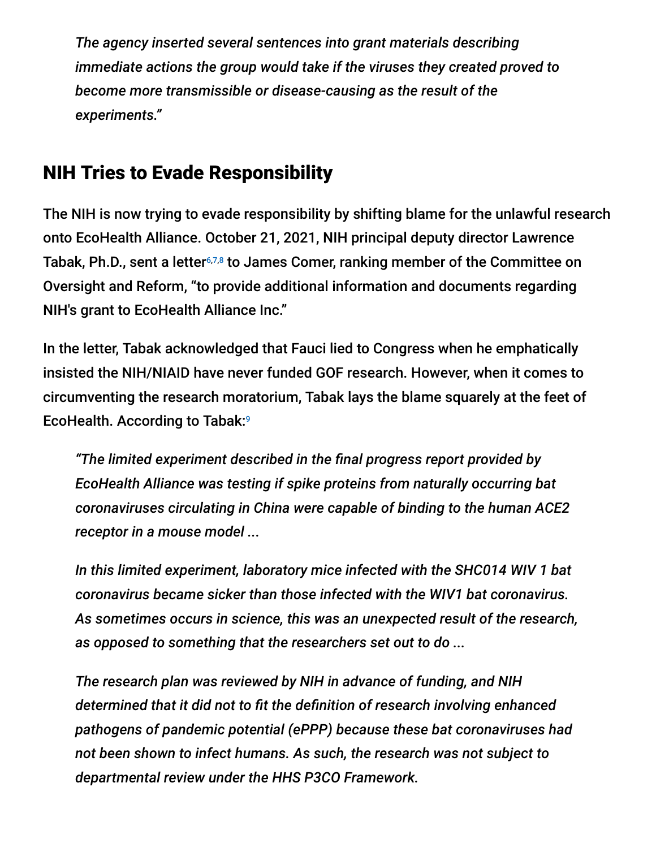*The agency inserted several sentences into grant materials describing immediate actions the group would take if the viruses they created proved to become more transmissible or disease-causing as the result of the experiments."*

## NIH Tries to Evade Responsibility

The NIH is now trying to evade responsibility by shifting blame for the unlawful research onto EcoHealth Alliance. October 21, 2021, NIH principal deputy director Lawrence Tabak, Ph.D., sent a letter<sup>6,7,8</sup> to James Comer, ranking member of the Committee on Oversight and Reform, "to provide additional information and documents regarding NIH's grant to EcoHealth Alliance Inc."

In the letter, Tabak acknowledged that Fauci lied to Congress when he emphatically insisted the NIH/NIAID have never funded GOF research. However, when it comes to circumventing the research moratorium, Tabak lays the blame squarely at the feet of EcoHealth. According to Tabak: 9

*"The limited experiment described in the final progress report provided by EcoHealth Alliance was testing if spike proteins from naturally occurring bat coronaviruses circulating in China were capable of binding to the human ACE2 receptor in a mouse model ...*

*In this limited experiment, laboratory mice infected with the SHC014 WIV 1 bat coronavirus became sicker than those infected with the WIV1 bat coronavirus. As sometimes occurs in science, this was an unexpected result of the research, as opposed to something that the researchers set out to do ...*

*The research plan was reviewed by NIH in advance of funding, and NIH determined that it did not to fit the definition of research involving enhanced pathogens of pandemic potential (ePPP) because these bat coronaviruses had not been shown to infect humans. As such, the research was not subject to departmental review under the HHS P3CO Framework.*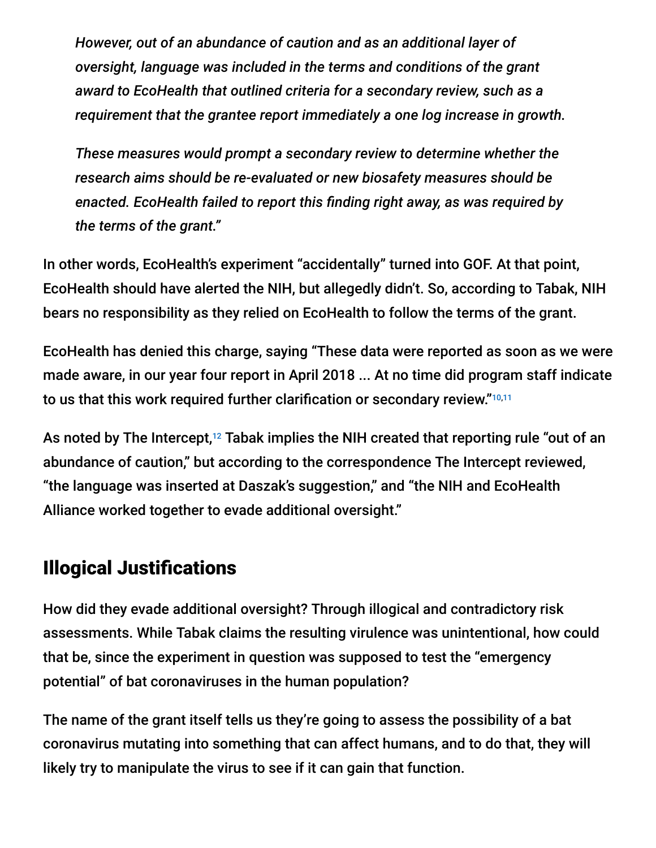*However, out of an abundance of caution and as an additional layer of oversight, language was included in the terms and conditions of the grant award to EcoHealth that outlined criteria for a secondary review, such as a requirement that the grantee report immediately a one log increase in growth.*

*These measures would prompt a secondary review to determine whether the research aims should be re-evaluated or new biosafety measures should be enacted. EcoHealth failed to report this finding right away, as was required by the terms of the grant."*

In other words, EcoHealth's experiment "accidentally" turned into GOF. At that point, EcoHealth should have alerted the NIH, but allegedly didn't. So, according to Tabak, NIH bears no responsibility as they relied on EcoHealth to follow the terms of the grant.

EcoHealth has denied this charge, saying "These data were reported as soon as we were made aware, in our year four report in April 2018 ... At no time did program staff indicate to us that this work required further clarification or secondary review." 10,11

As noted by The Intercept, $^{12}$  Tabak implies the NIH created that reporting rule "out of an abundance of caution," but according to the correspondence The Intercept reviewed, "the language was inserted at Daszak's suggestion," and "the NIH and EcoHealth Alliance worked together to evade additional oversight."

### Illogical Justifications

How did they evade additional oversight? Through illogical and contradictory risk assessments. While Tabak claims the resulting virulence was unintentional, how could that be, since the experiment in question was supposed to test the "emergency potential" of bat coronaviruses in the human population?

The name of the grant itself tells us they're going to assess the possibility of a bat coronavirus mutating into something that can affect humans, and to do that, they will likely try to manipulate the virus to see if it can gain that function.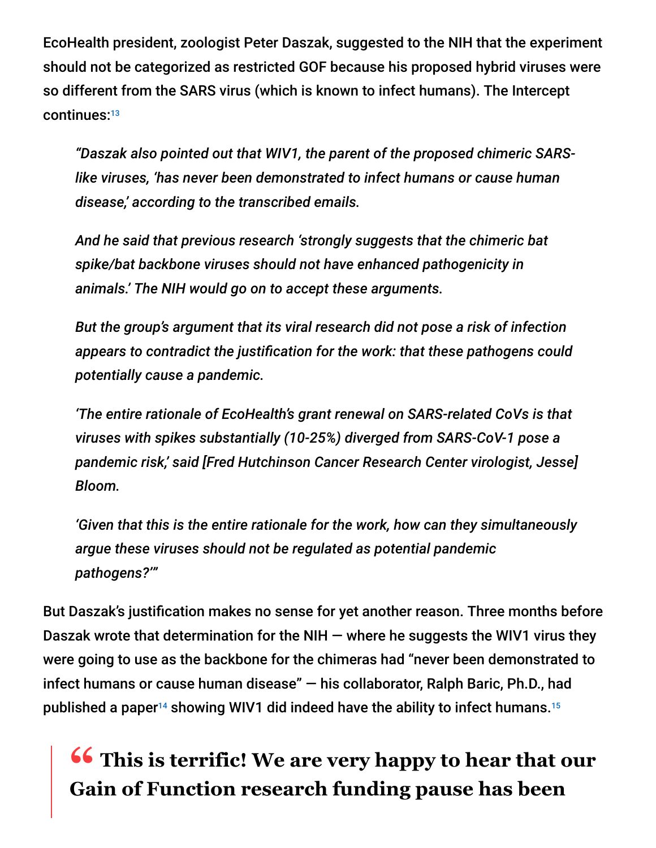EcoHealth president, zoologist Peter Daszak, suggested to the NIH that the experiment should not be categorized as restricted GOF because his proposed hybrid viruses were so different from the SARS virus (which is known to infect humans). The Intercept continues: 13

*"Daszak also pointed out that WIV1, the parent of the proposed chimeric SARSlike viruses, 'has never been demonstrated to infect humans or cause human disease,' according to the transcribed emails.*

*And he said that previous research 'strongly suggests that the chimeric bat spike/bat backbone viruses should not have enhanced pathogenicity in animals.' The NIH would go on to accept these arguments.*

*But the group's argument that its viral research did not pose a risk of infection appears to contradict the justification for the work: that these pathogens could potentially cause a pandemic.*

*'The entire rationale of EcoHealth's grant renewal on SARS-related CoVs is that viruses with spikes substantially (10-25%) diverged from SARS-CoV-1 pose a pandemic risk,' said [Fred Hutchinson Cancer Research Center virologist, Jesse] Bloom.*

*'Given that this is the entire rationale for the work, how can they simultaneously argue these viruses should not be regulated as potential pandemic pathogens?'"*

But Daszak's justification makes no sense for yet another reason. Three months before Daszak wrote that determination for the NIH  $-$  where he suggests the WIV1 virus they were going to use as the backbone for the chimeras had "never been demonstrated to infect humans or cause human disease" — his collaborator, Ralph Baric, Ph.D., had published a paper $^{14}$  showing WIV1 did indeed have the ability to infect humans. $^{15}$ 

# **<sup>66</sup> This is terrific! We are very happy to hear that our**<br>Gain of Eunction research funding pause has been **Gain of Function research funding pause has been**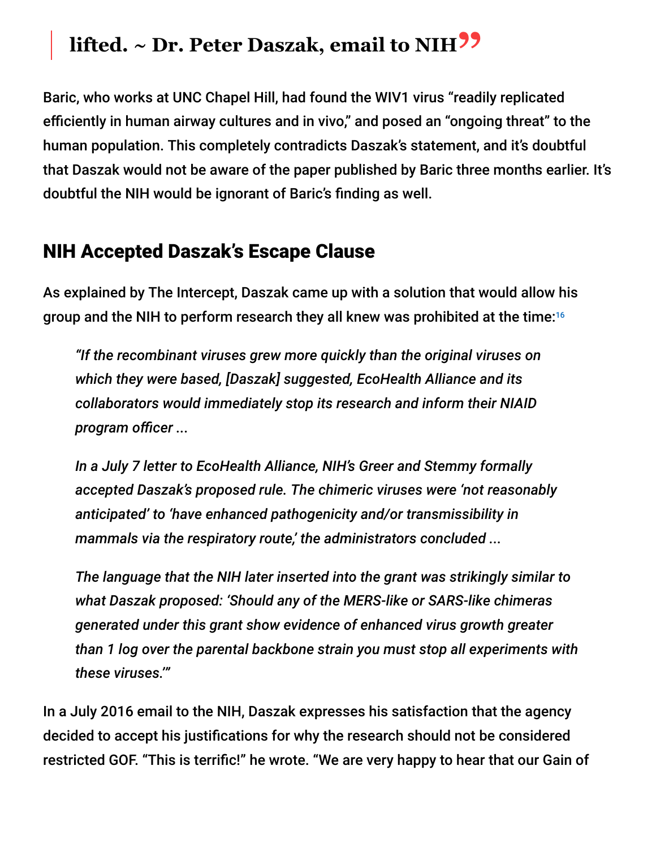# **lifted. ~ Dr. Peter Daszak, email to NIH"**

Baric, who works at UNC Chapel Hill, had found the WIV1 virus "readily replicated efficiently in human airway cultures and in vivo," and posed an "ongoing threat" to the human population. This completely contradicts Daszak's statement, and it's doubtful that Daszak would not be aware of the paper published by Baric three months earlier. It's doubtful the NIH would be ignorant of Baric's finding as well.

#### NIH Accepted Daszak's Escape Clause

As explained by The Intercept, Daszak came up with a solution that would allow his group and the NIH to perform research they all knew was prohibited at the time: 16

*"If the recombinant viruses grew more quickly than the original viruses on which they were based, [Daszak] suggested, EcoHealth Alliance and its collaborators would immediately stop its research and inform their NIAID program officer ...*

*In a July 7 letter to EcoHealth Alliance, NIH's Greer and Stemmy formally accepted Daszak's proposed rule. The chimeric viruses were 'not reasonably anticipated' to 'have enhanced pathogenicity and/or transmissibility in mammals via the respiratory route,' the administrators concluded ...*

*The language that the NIH later inserted into the grant was strikingly similar to what Daszak proposed: 'Should any of the MERS-like or SARS-like chimeras generated under this grant show evidence of enhanced virus growth greater than 1 log over the parental backbone strain you must stop all experiments with these viruses.'"*

In a July 2016 email to the NIH, Daszak expresses his satisfaction that the agency decided to accept his justifications for why the research should not be considered restricted GOF. "This is terrific!" he wrote. "We are very happy to hear that our Gain of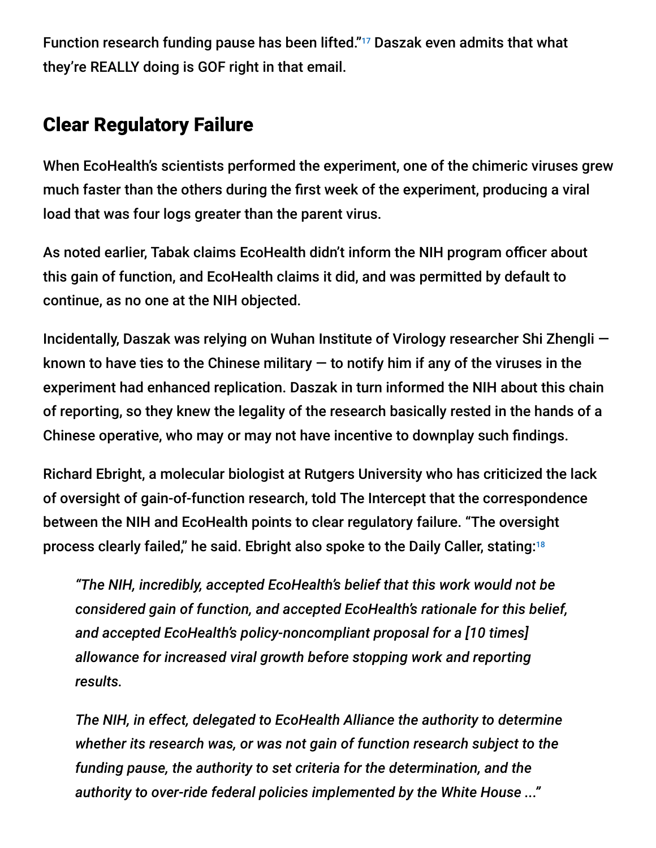Function research funding pause has been lifted."<sup>17</sup> Daszak even admits that what they're REALLY doing is GOF right in that email.

## Clear Regulatory Failure

When EcoHealth's scientists performed the experiment, one of the chimeric viruses grew much faster than the others during the first week of the experiment, producing a viral load that was four logs greater than the parent virus.

As noted earlier, Tabak claims EcoHealth didn't inform the NIH program officer about this gain of function, and EcoHealth claims it did, and was permitted by default to continue, as no one at the NIH objected.

Incidentally, Daszak was relying on Wuhan Institute of Virology researcher Shi Zhengli known to have ties to the Chinese military  $-$  to notify him if any of the viruses in the experiment had enhanced replication. Daszak in turn informed the NIH about this chain of reporting, so they knew the legality of the research basically rested in the hands of a Chinese operative, who may or may not have incentive to downplay such findings.

Richard Ebright, a molecular biologist at Rutgers University who has criticized the lack of oversight of gain-of-function research, told The Intercept that the correspondence between the NIH and EcoHealth points to clear regulatory failure. "The oversight process clearly failed," he said. Ebright also spoke to the Daily Caller, stating: 18

*"The NIH, incredibly, accepted EcoHealth's belief that this work would not be considered gain of function, and accepted EcoHealth's rationale for this belief, and accepted EcoHealth's policy-noncompliant proposal for a [10 times] allowance for increased viral growth before stopping work and reporting results.*

*The NIH, in effect, delegated to EcoHealth Alliance the authority to determine whether its research was, or was not gain of function research subject to the funding pause, the authority to set criteria for the determination, and the authority to over-ride federal policies implemented by the White House ..."*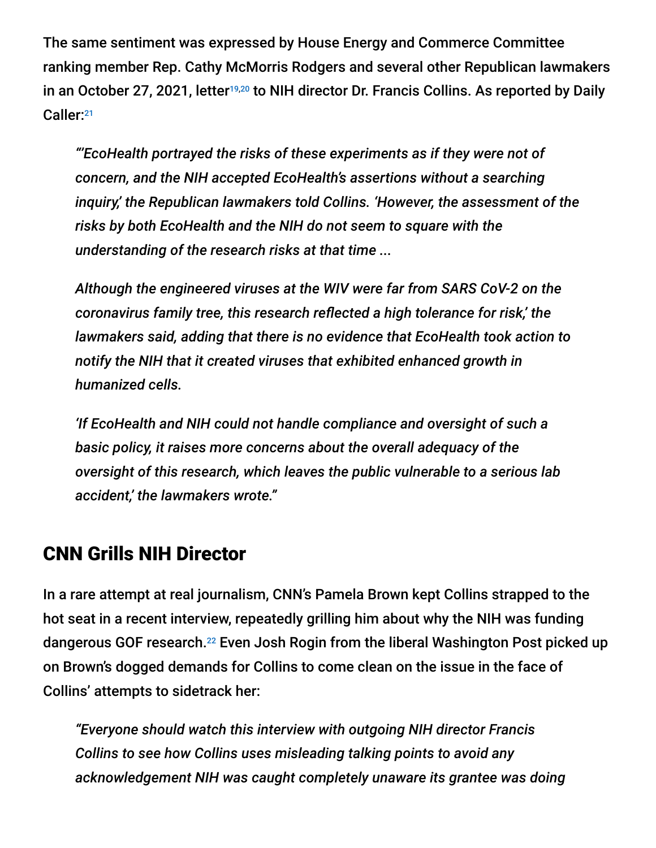The same sentiment was expressed by House Energy and Commerce Committee ranking member Rep. Cathy McMorris Rodgers and several other Republican lawmakers in an October 27, 2021, letter<sup>19,20</sup> to NIH director Dr. Francis Collins. As reported by Daily Caller: 21

*"'EcoHealth portrayed the risks of these experiments as if they were not of concern, and the NIH accepted EcoHealth's assertions without a searching inquiry,' the Republican lawmakers told Collins. 'However, the assessment of the risks by both EcoHealth and the NIH do not seem to square with the understanding of the research risks at that time ...*

*Although the engineered viruses at the WIV were far from SARS CoV-2 on the coronavirus family tree, this research reflected a high tolerance for risk,' the lawmakers said, adding that there is no evidence that EcoHealth took action to notify the NIH that it created viruses that exhibited enhanced growth in humanized cells.*

*'If EcoHealth and NIH could not handle compliance and oversight of such a basic policy, it raises more concerns about the overall adequacy of the oversight of this research, which leaves the public vulnerable to a serious lab accident,' the lawmakers wrote."*

### CNN Grills NIH Director

In a rare attempt at real journalism, CNN's Pamela Brown kept Collins strapped to the hot seat in a recent interview, repeatedly grilling him about why the NIH was funding dangerous GOF research.<sup>22</sup> Even Josh Rogin from the liberal Washington Post picked up on Brown's dogged demands for Collins to come clean on the issue in the face of Collins' attempts to sidetrack her:

*"Everyone should watch this interview with outgoing NIH director Francis Collins to see how Collins uses misleading talking points to avoid any acknowledgement NIH was caught completely unaware its grantee was doing*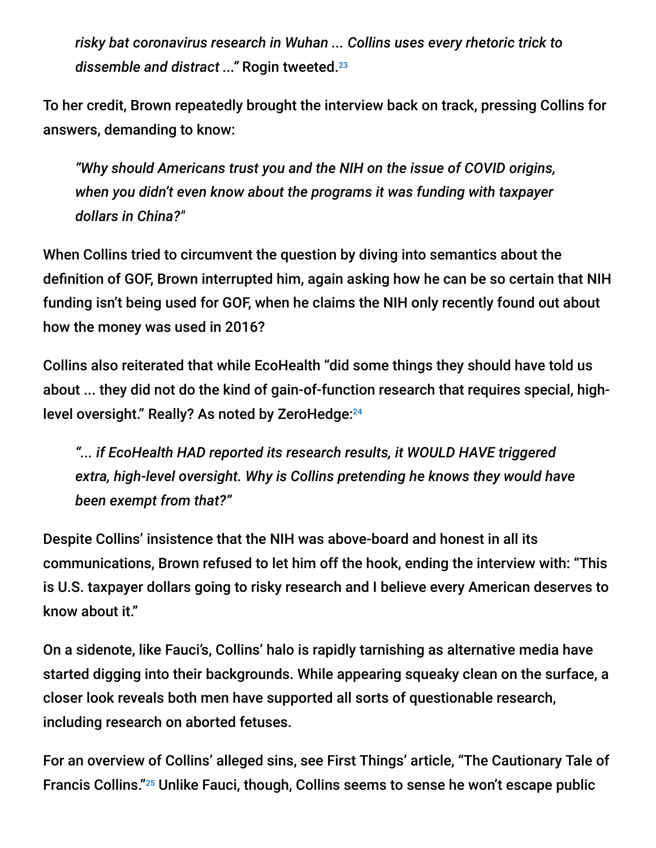*risky bat coronavirus research in Wuhan ... Collins uses every rhetoric trick to dissemble and distract ..."* Rogin tweeted. 23

To her credit, Brown repeatedly brought the interview back on track, pressing Collins for answers, demanding to know:

*"Why should Americans trust you and the NIH on the issue of COVID origins, when you didn't even know about the programs it was funding with taxpayer dollars in China?"*

When Collins tried to circumvent the question by diving into semantics about the definition of GOF, Brown interrupted him, again asking how he can be so certain that NIH funding isn't being used for GOF, when he claims the NIH only recently found out about how the money was used in 2016?

Collins also reiterated that while EcoHealth "did some things they should have told us about ... they did not do the kind of gain-of-function research that requires special, highlevel oversight." Really? As noted by ZeroHedge: 24

*"... if EcoHealth HAD reported its research results, it WOULD HAVE triggered extra, high-level oversight. Why is Collins pretending he knows they would have been exempt from that?"*

Despite Collins' insistence that the NIH was above-board and honest in all its communications, Brown refused to let him off the hook, ending the interview with: "This is U.S. taxpayer dollars going to risky research and I believe every American deserves to know about it."

On a sidenote, like Fauci's, Collins' halo is rapidly tarnishing as alternative media have started digging into their backgrounds. While appearing squeaky clean on the surface, a closer look reveals both men have supported all sorts of questionable research, including research on aborted fetuses.

For an overview of Collins' alleged sins, see First Things' article, "The Cautionary Tale of Francis Collins."<sup>25</sup> Unlike Fauci, though, Collins seems to sense he won't escape public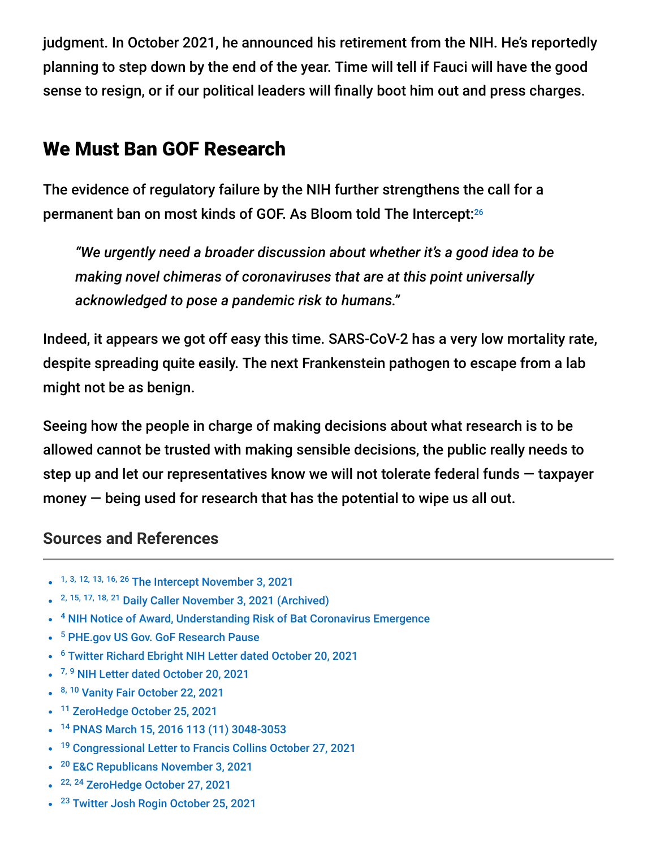judgment. In October 2021, he announced his retirement from the NIH. He's reportedly planning to step down by the end of the year. Time will tell if Fauci will have the good sense to resign, or if our political leaders will finally boot him out and press charges.

#### We Must Ban GOF Research

The evidence of regulatory failure by the NIH further strengthens the call for a permanent ban on most kinds of GOF. As Bloom told The Intercept: 26

*"We urgently need a broader discussion about whether it's a good idea to be making novel chimeras of coronaviruses that are at this point universally acknowledged to pose a pandemic risk to humans."*

Indeed, it appears we got off easy this time. SARS-CoV-2 has a very low mortality rate, despite spreading quite easily. The next Frankenstein pathogen to escape from a lab might not be as benign.

Seeing how the people in charge of making decisions about what research is to be allowed cannot be trusted with making sensible decisions, the public really needs to step up and let our representatives know we will not tolerate federal funds — taxpayer money — being used for research that has the potential to wipe us all out.

#### **Sources and References**

- 1, 3, 12, 13, 16, 26 [The Intercept November 3, 2021](https://theintercept.com/2021/11/03/coronavirus-research-ecohealth-nih-emails/)
- <sup>2, 15, 17, 18, 21</sup> [Daily Caller November 3, 2021 \(Archived\)](https://archive.md/xbGGW)
- <sup>4</sup> [NIH Notice of Award, Understanding Risk of Bat Coronavirus Emergence](https://www.documentcloud.org/documents/21055989-understanding-risk-bat-coronavirus-emergence-grant-notice)
- <sup>5</sup> [PHE.gov US Gov. GoF Research Pause](https://www.phe.gov/s3/dualuse/documents/gain-of-function.pdf)
- <sup>6</sup> [Twitter Richard Ebright NIH Letter dated October 20, 2021](https://twitter.com/R_H_Ebright/status/1450947395508858880/photo/1)
- <sup>7, 9</sup> [NIH Letter dated October 20, 2021](https://www.thethinkingconservative.com/wp-content/uploads/2021/10/tabak-nih-letter-to-comer.pdf)
- 8, 10 [Vanity Fair October 22, 2021](https://www.vanityfair.com/news/2021/10/nih-admits-funding-risky-virus-research-in-wuhan)
- <sup>11</sup> [ZeroHedge October 25, 2021](https://www.zerohedge.com/political/ecohealth-throws-fauci-under-bus-over-wuhan-gain-function-report-researcher-claims)
- <sup>14</sup> [PNAS March 15, 2016 113 \(11\) 3048-3053](https://archive.md/ErSBO#selection-1381.0-1393.9)
- <sup>19</sup> [Congressional Letter to Francis Collins October 27, 2021](https://republicans-energycommerce.house.gov/wp-content/uploads/2021/11/2021.10.27-Letter-to-NIH.pdf)
- <sup>20</sup> [E&C Republicans November 3, 2021](https://republicans-energycommerce.house.gov/news/ec-republican-leaders-reveal-nih-mismanaged-concerns-surrounding-ecohealth-alliances-risky-research-in-china/)
- <sup>22, 24</sup> [ZeroHedge October 27, 2021](https://bit.ly/3wDOEqk)
- <sup>23</sup> [Twitter Josh Rogin October 25, 2021](https://bit.ly/3HeWwni)